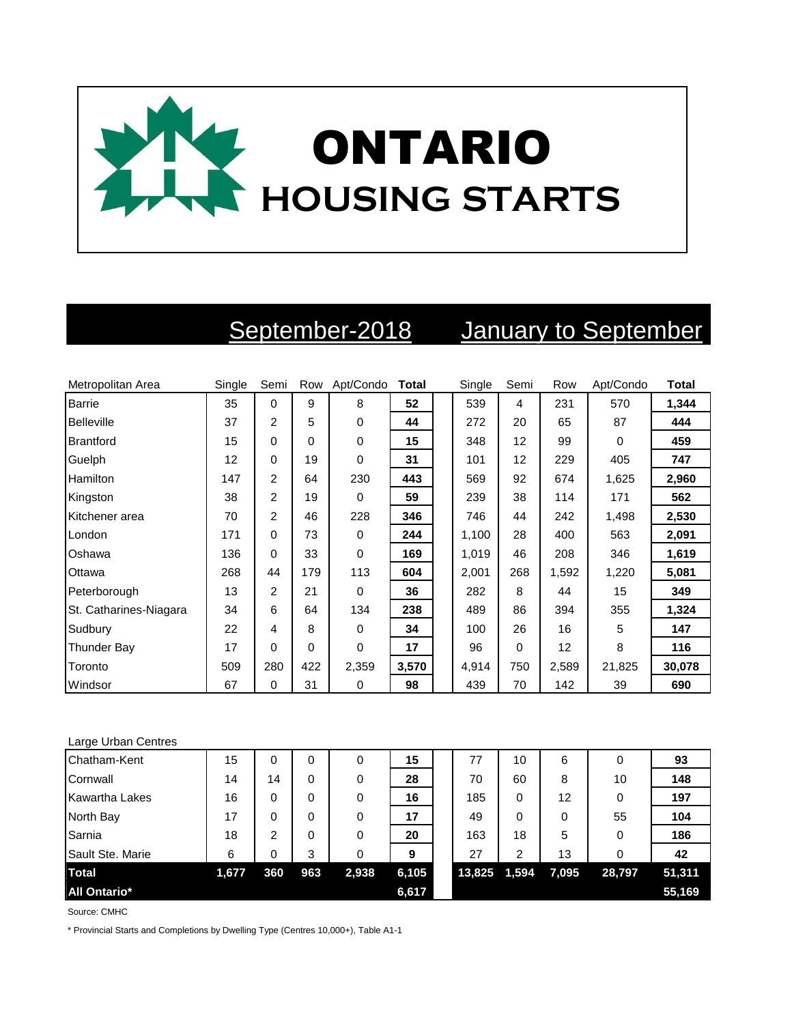

## September-2018 January to September

| Metropolitan Area      | Single | Semi           | Row | Apt/Condo | <b>Total</b> | Single | Semi     | Row   | Apt/Condo | <b>Total</b> |
|------------------------|--------|----------------|-----|-----------|--------------|--------|----------|-------|-----------|--------------|
| <b>Barrie</b>          | 35     | $\Omega$       | 9   | 8         | 52           | 539    | 4        | 231   | 570       | 1,344        |
| Belleville             | 37     | $\overline{2}$ | 5   | 0         | 44           | 272    | 20       | 65    | 87        | 444          |
| Brantford              | 15     | 0              | 0   | 0         | 15           | 348    | 12       | 99    | 0         | 459          |
| Guelph                 | 12     | 0              | 19  | 0         | 31           | 101    | 12       | 229   | 405       | 747          |
| Hamilton               | 147    | 2              | 64  | 230       | 443          | 569    | 92       | 674   | 1,625     | 2,960        |
| Kingston               | 38     | $\overline{2}$ | 19  | 0         | 59           | 239    | 38       | 114   | 171       | 562          |
| Kitchener area         | 70     | $\overline{2}$ | 46  | 228       | 346          | 746    | 44       | 242   | 1,498     | 2,530        |
| London                 | 171    | 0              | 73  | 0         | 244          | 1,100  | 28       | 400   | 563       | 2,091        |
| Oshawa                 | 136    | $\mathbf 0$    | 33  | 0         | 169          | 1,019  | 46       | 208   | 346       | 1,619        |
| Ottawa                 | 268    | 44             | 179 | 113       | 604          | 2,001  | 268      | 1,592 | 1,220     | 5,081        |
| Peterborough           | 13     | $\overline{2}$ | 21  | 0         | 36           | 282    | 8        | 44    | 15        | 349          |
| St. Catharines-Niagara | 34     | 6              | 64  | 134       | 238          | 489    | 86       | 394   | 355       | 1,324        |
| Sudbury                | 22     | 4              | 8   | 0         | 34           | 100    | 26       | 16    | 5         | 147          |
| Thunder Bay            | 17     | 0              | 0   | 0         | 17           | 96     | $\Omega$ | 12    | 8         | 116          |
| Toronto                | 509    | 280            | 422 | 2,359     | 3,570        | 4,914  | 750      | 2,589 | 21,825    | 30,078       |
| Windsor                | 67     | 0              | 31  | 0         | 98           | 439    | 70       | 142   | 39        | 690          |

## Large Urban Centres

| Chatham-Kent        | 15    | 0   | 0   | 0     | 15    | 77     | 10       | 6        | 0      | 93     |
|---------------------|-------|-----|-----|-------|-------|--------|----------|----------|--------|--------|
| Cornwall            | 14    | 14  | 0   | 0     | 28    | 70     | 60       | 8        | 10     | 148    |
| Kawartha Lakes      | 16    | 0   | 0   | 0     | 16    | 185    | $\Omega$ | 12       | 0      | 197    |
| North Bay           | 17    | 0   | 0   | 0     | 17    | 49     | 0        | $\Omega$ | 55     | 104    |
| Sarnia              | 18    | 2   | 0   | 0     | 20    | 163    | 18       | 5        | 0      | 186    |
| Sault Ste. Marie    | 6     | 0   | 3   | 0     | 9     | 27     | 2        | 13       | 0      | 42     |
| <b>Total</b>        | 1,677 | 360 | 963 | 2,938 | 6,105 | 13,825 | 1,594    | 7,095    | 28,797 | 51,311 |
| <b>All Ontario*</b> |       |     |     |       | 6,617 |        |          |          |        | 55,169 |

Source: CMHC

\* Provincial Starts and Completions by Dwelling Type (Centres 10,000+), Table A1-1